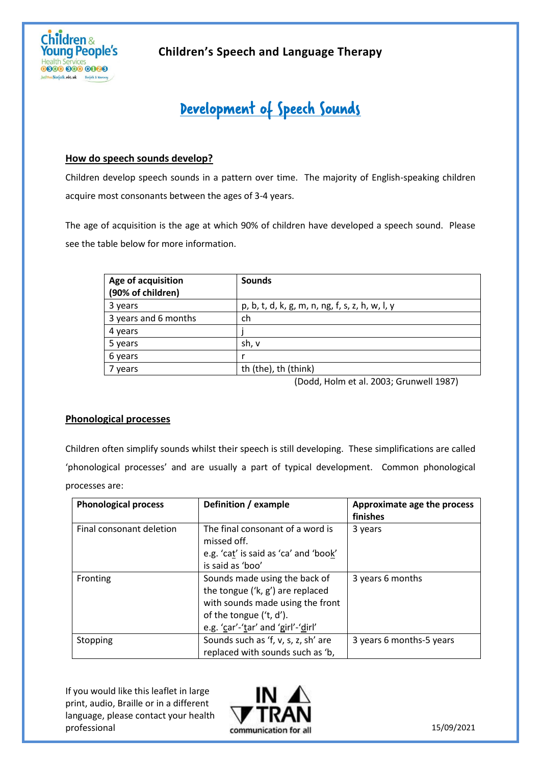

## **Children's Speech and Language Therapy**

# Development of Speech Sounds

### **How do speech sounds develop?**

Children develop speech sounds in a pattern over time. The majority of English-speaking children acquire most consonants between the ages of 3-4 years.

The age of acquisition is the age at which 90% of children have developed a speech sound. Please see the table below for more information.

| Age of acquisition<br>(90% of children) | <b>Sounds</b>                                   |
|-----------------------------------------|-------------------------------------------------|
| 3 years                                 | p, b, t, d, k, g, m, n, ng, f, s, z, h, w, l, y |
| 3 years and 6 months                    | ch                                              |
| 4 years                                 |                                                 |
| 5 years                                 | sh, v                                           |
| 6 years                                 |                                                 |
| vears                                   | th (the), th (think)                            |

(Dodd, Holm et al. 2003; Grunwell 1987)

#### **Phonological processes**

Children often simplify sounds whilst their speech is still developing. These simplifications are called 'phonological processes' and are usually a part of typical development. Common phonological processes are:

| <b>Phonological process</b> | Definition / example                                                                                                                                                   | Approximate age the process<br>finishes |
|-----------------------------|------------------------------------------------------------------------------------------------------------------------------------------------------------------------|-----------------------------------------|
| Final consonant deletion    | The final consonant of a word is<br>missed off.<br>e.g. 'cat' is said as 'ca' and 'book'<br>is said as 'boo'                                                           | 3 years                                 |
| Fronting                    | Sounds made using the back of<br>the tongue ('k, g') are replaced<br>with sounds made using the front<br>of the tongue ('t, d').<br>e.g. 'car'-'tar' and 'girl'-'dirl' | 3 years 6 months                        |
| Stopping                    | Sounds such as 'f, v, s, z, sh' are<br>replaced with sounds such as 'b,                                                                                                | 3 years 6 months-5 years                |

If you would like this leaflet in large print, audio, Braille or in a different language, please contact your health professional



15/09/2021